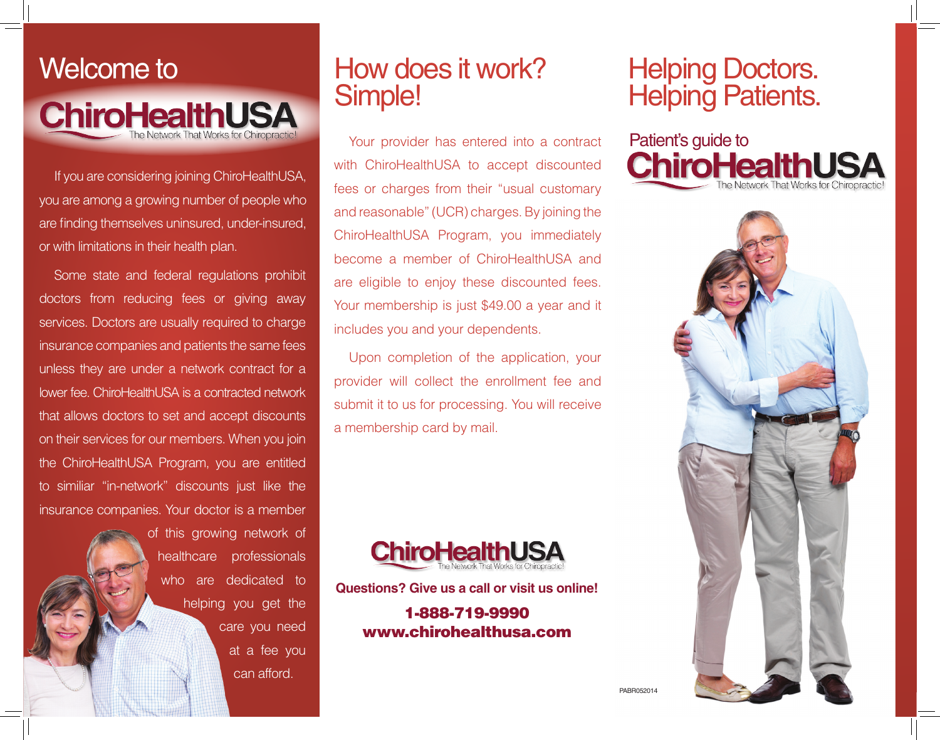

If you are considering joining ChiroHealthUSA, you are among a growing number of people who are finding themselves uninsured, under-insured, or with limitations in their health plan.

Some state and federal regulations prohibit doctors from reducing fees or giving away services. Doctors are usually required to charge insurance companies and patients the same fees unless they are under a network contract for a lower fee. ChiroHealthUSA is a contracted network that allows doctors to set and accept discounts on their services for our members. When you join the ChiroHealthUSA Program, you are entitled to similiar "in-network" discounts just like the insurance companies. Your doctor is a member

> of this growing network of healthcare professionals who are dedicated to helping you get the care you need at a fee you can afford.

# How does it work? Simple!

Your provider has entered into a contract with ChiroHealthUSA to accept discounted fees or charges from their "usual customary and reasonable" (UCR) charges. By joining the ChiroHealthUSA Program, you immediately become a member of ChiroHealthUSA and are eligible to enjoy these discounted fees. Your membership is just \$49.00 a year and it includes you and your dependents.

Upon completion of the application, your provider will collect the enrollment fee and submit it to us for processing. You will receive a membership card by mail.



**Questions? Give us a call or visit us online!**

1-888-719-9990 www.chirohealthusa.com

# **Helping Patients.**

Patient's guide to **ChiroHealthUSA** 



PABR052014